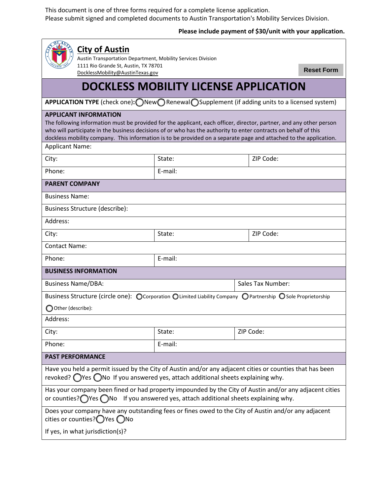This document is one of three forms required for a complete license application. Please submit signed and completed documents to Austin Transportation's Mobility Services Division.

## **Please include payment of \$30/unit with your application.**

| <b>City of Austin</b><br>Austin Transportation Department, Mobility Services Division                                                                                                                                                                                                                                                                                                       |         |                          |  |  |
|---------------------------------------------------------------------------------------------------------------------------------------------------------------------------------------------------------------------------------------------------------------------------------------------------------------------------------------------------------------------------------------------|---------|--------------------------|--|--|
| 1111 Rio Grande St, Austin, TX 78701<br>DocklessMobility@AustinTexas.gov                                                                                                                                                                                                                                                                                                                    |         | <b>Reset Form</b>        |  |  |
| <b>DOCKLESS MOBILITY LICENSE APPLICATION</b>                                                                                                                                                                                                                                                                                                                                                |         |                          |  |  |
| APPLICATION TYPE (check one): ONew ORenewal OSupplement (if adding units to a licensed system)                                                                                                                                                                                                                                                                                              |         |                          |  |  |
| <b>APPLICANT INFORMATION</b><br>The following information must be provided for the applicant, each officer, director, partner, and any other person<br>who will participate in the business decisions of or who has the authority to enter contracts on behalf of this<br>dockless mobility company. This information is to be provided on a separate page and attached to the application. |         |                          |  |  |
| <b>Applicant Name:</b>                                                                                                                                                                                                                                                                                                                                                                      |         |                          |  |  |
| City:                                                                                                                                                                                                                                                                                                                                                                                       | State:  | ZIP Code:                |  |  |
| Phone:                                                                                                                                                                                                                                                                                                                                                                                      | E-mail: |                          |  |  |
| <b>PARENT COMPANY</b>                                                                                                                                                                                                                                                                                                                                                                       |         |                          |  |  |
| <b>Business Name:</b>                                                                                                                                                                                                                                                                                                                                                                       |         |                          |  |  |
| <b>Business Structure (describe):</b>                                                                                                                                                                                                                                                                                                                                                       |         |                          |  |  |
| Address:                                                                                                                                                                                                                                                                                                                                                                                    |         |                          |  |  |
| City:                                                                                                                                                                                                                                                                                                                                                                                       | State:  | ZIP Code:                |  |  |
| <b>Contact Name:</b>                                                                                                                                                                                                                                                                                                                                                                        |         |                          |  |  |
| Phone:                                                                                                                                                                                                                                                                                                                                                                                      | E-mail: |                          |  |  |
| <b>BUSINESS INFORMATION</b>                                                                                                                                                                                                                                                                                                                                                                 |         |                          |  |  |
| <b>Business Name/DBA:</b>                                                                                                                                                                                                                                                                                                                                                                   |         | <b>Sales Tax Number:</b> |  |  |
| Business Structure (circle one): O Corporation O Limited Liability Company O Partnership O Sole Proprietorship                                                                                                                                                                                                                                                                              |         |                          |  |  |
| O Other (describe):                                                                                                                                                                                                                                                                                                                                                                         |         |                          |  |  |
| Address:                                                                                                                                                                                                                                                                                                                                                                                    |         |                          |  |  |
| City:                                                                                                                                                                                                                                                                                                                                                                                       | State:  | ZIP Code:                |  |  |
| Phone:                                                                                                                                                                                                                                                                                                                                                                                      | E-mail: |                          |  |  |
| <b>PAST PERFORMANCE</b>                                                                                                                                                                                                                                                                                                                                                                     |         |                          |  |  |
| Have you held a permit issued by the City of Austin and/or any adjacent cities or counties that has been<br>revoked? $\bigcirc$ Yes $\bigcirc$ No If you answered yes, attach additional sheets explaining why.                                                                                                                                                                             |         |                          |  |  |
| Has your company been fined or had property impounded by the City of Austin and/or any adjacent cities<br>or counties? $\bigcirc$ Yes $\bigcirc$ No If you answered yes, attach additional sheets explaining why.                                                                                                                                                                           |         |                          |  |  |
| Does your company have any outstanding fees or fines owed to the City of Austin and/or any adjacent<br>cities or counties?◯ Yes ◯ No                                                                                                                                                                                                                                                        |         |                          |  |  |
| If yes, in what jurisdiction(s)?                                                                                                                                                                                                                                                                                                                                                            |         |                          |  |  |